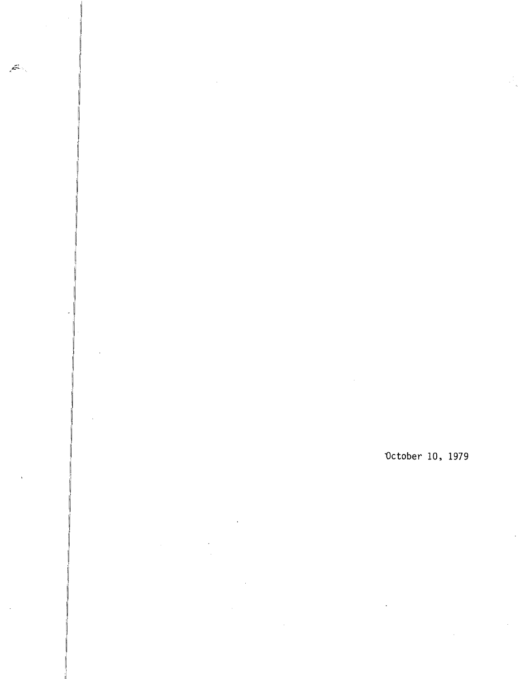$\mathbb{A}^2$ 

## October 10, 1979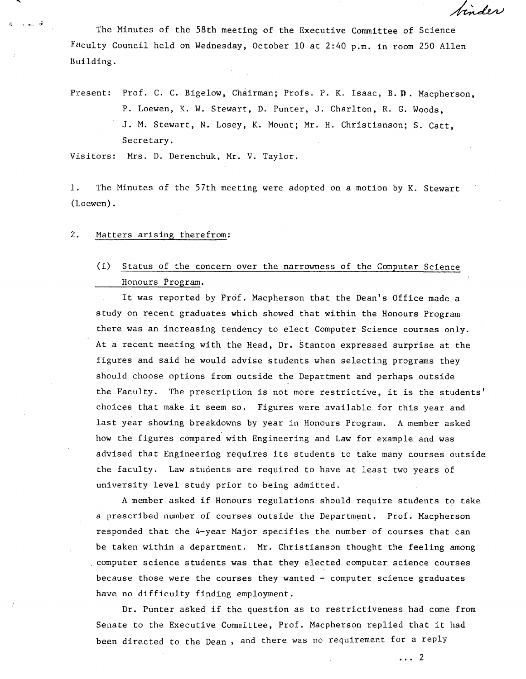The Minutes of the 58th meeting of the Executive Committee of Science Faculty Council held on Wednesday, October 10 at 2:40 p.m. in room 250 Allen Building.

Present: Prof. C. C. Bigelow, Chairman; Profs. P. K. Isaac, B. D. Macpherson, P. Loewen, *K. W.* Stewart, D. Punter, J. Charlton, R. C. Woods, J. M. Stewart, N. Losey, K. Mount; Mr. H. Christianson; S. Catt, Secretary.

Visitors: Mrs. D. Derenchuk, Mr. V. Taylor.

 $1.$ The Minutes of the 57th meeting were adopted on a motion by *K.* Stewart (Loewen).

## $2.4$ Matters arising therefrom:

ು ಸಾಂಶ್

## (i) Status of the concern over the narrowness of the Computer Science Honours Program.

It was reported by Prof. Macpherson that the Dean's Office made a study on recent graduates which showed that within the Honours Program there was an increasing tendency to elect Computer Science courses only. At a recent meeting with the Head, Dr. Stanton expressed surprise at the figures and said he would advise students when selecting programs they should choose options from outside the Department and perhaps outside the Faculty. The prescription is not more restrictive, it is the students' choices that make it seem so. Figures were available for this year and last year showing breakdowns by year in Honours Program. A member asked how the figures compared with Engineering and Law for example and was advised that Engineering requires its students to take many courses outside the faculty. Law students are required to have at least two years of university level study prior to being admitted.

A member asked if Honours regulations should require students to take a prescribed number of courses outside the Department. Prof. Macpherson responded that the 4-year Major specifies the number of courses that can be taken within a department. Mr. Christianson thought the feeling among computer science students was that they elected computer science courses because those were the courses they wanted - computer science graduates have no difficulty finding employment.

Dr. Punter asked if the question as to restrictiveness had come from Senate to the Executive Committee, Prof. Macpherson replied that it had been directed to the Dean , and there was no requirement for a reply

 $\cdots$  2

binder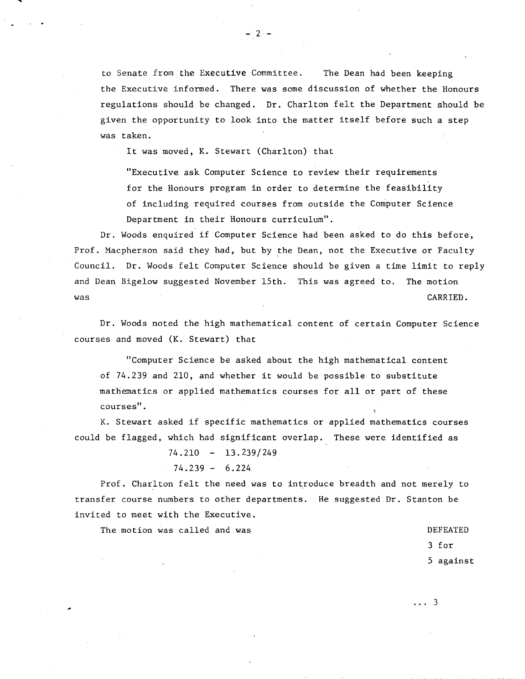to Senate from the Executive Committee. The Dean had been keeping the Executive informed. There was some discussion of whether the Honours regulations should be changed. Dr. Charlton felt the Department should be given the opportunity to look into the matter itself before such a step was taken.

It was moved, K. Stewart (Charlton) that

"Executive ask Computer Science to review their requirements for the Honours program in order to determine the feasibility of including required courses from outside the Computer Science Department in their Honours curriculum".

Dr. Woods enquired if Computer Science had been asked to do this before, Prof. Macpherson said they had, but by the Dean, not the Executive or Faculty Council. Dr. Woods felt Computer Science should be given a time limit to reply and Dean Bigelow suggested November 15th. This was agreed to. The motion was **CARRIED**.

Dr. Woods noted the high mathematical content of certain Computer Science courses and moved (K. Stewart) that

"Computer Science be asked about the high mathematical content of 74.239 and 210, and whether it would be possible to substitute mathematics or applied mathematics courses for all or part of these courses".

K. Stewart asked if specific mathematics or applied mathematics courses could be flagged, which had significant overlap. These were identified as

74.210 - 13.239/249

$$
74.239 - 6.224
$$

Prof. Charlton felt the need was to introduce breadth and not merely to transfer course numbers to other departments. He suggested Dr. Stanton be invited to meet with the Executive.

The motion was called and was  $\blacksquare$ 

3 for

5 against

. . . 3

 $-2-$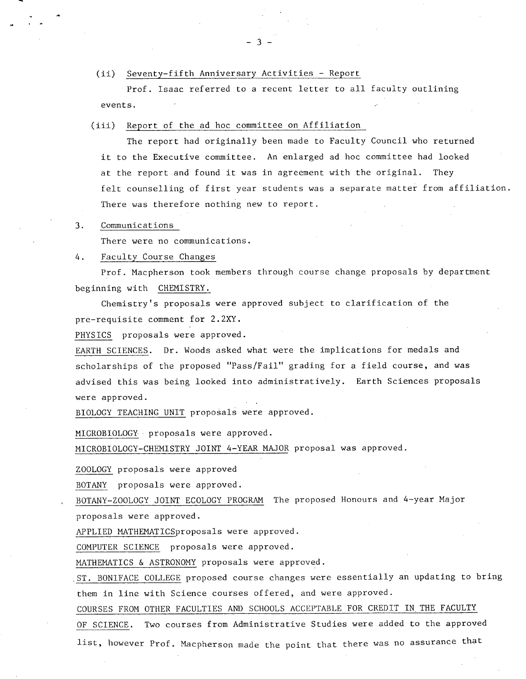$(ii)$ Seventy-fifth Anniversary Activities - Report

Prof. Isaac referred to a recent letter to all faculty outlining events.

(iii) Report of the ad hoc committee on Affiliation

The report had originally been made to Faculty Council who returned it to the Executive committee. An enlarged ad hoc committee had looked at the report and found it was in agreement with the original. They felt counselling of first year students was a separate matter from affiliation. There was therefore nothing new to report.

 $3.$ Communications

There were no communications.

## 4. Faculty Course Changes

Prof. Macpherson took members through course change proposals by department beginning with CHEMISTRY.

Chemistry's proposals were approved subject to clarification of the pre-requisite comment for 2.2XY.

PHYSICS proposals were approved.

EARTH SCIENCES. Dr. Woods asked what were the implications for medals and scholarships of the proposed "Pass/Fail" grading for a field course, and was advised this was being looked into administratively. Earth Sciences proposals were approved.

BIOLOGY TEACHING UNIT proposals were approved.

MICROBIOLOGY proposals were approved.

MICROBIOLOGY-CHEMISTRY JOINT 4-YEAR MAJOR proposal was approved.

ZOOLOGY proposals were approved

BOTANY proposals were approved.

BOTANY-ZOOLOGY JOINT ECOLOGY PROGRAM The proposed Honours and 4-year Major proposals were approved.

APPLIED MATHEMATICSproposals were approved.

COMPUTER SCIENCE proposals were approved.

MATHEMATICS & ASTRONOMY proposals were approved.

ST. BONIFACE COLLEGE proposed course changes were essentially an updating to bring them in line with Science courses offered, and were approved.

COURSES FROM OTHER FACULTIES AND SCHOOLS ACCEPTABLE FOR CREDIT IN THE FACULTY

OF SCIENCE. Two courses from Administrative Studies were added to the approved list, however Prof. Macpherson made the point that there was no assurance that

 $\mathcal{R}$